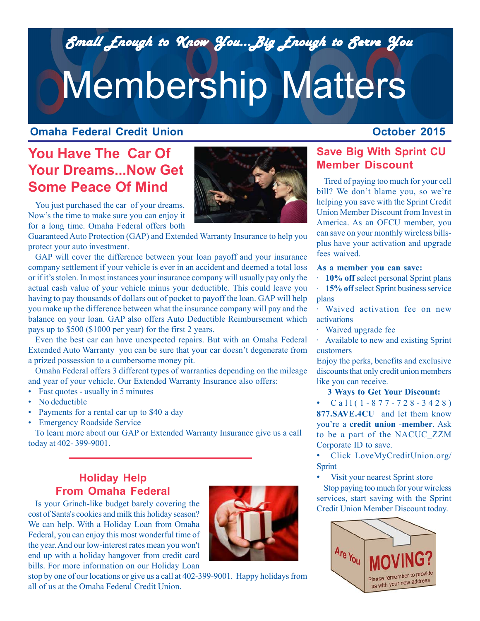*Small Enough to Know You...Big Enough to Serve You Small Enough to Know You...Big Enough to Serve You*

# Membership Matters

### **Omaha Federal Credit Union**

## **October 2015**

# **You Have The Car Of Your Dreams...Now Get Some Peace Of Mind**



You just purchased the car of your dreams. Now's the time to make sure you can enjoy it for a long time. Omaha Federal offers both

Guaranteed Auto Protection (GAP) and Extended Warranty Insurance to help you protect your auto investment.

GAP will cover the difference between your loan payoff and your insurance company settlement if your vehicle is ever in an accident and deemed a total loss or if it's stolen. In most instances your insurance company will usually pay only the actual cash value of your vehicle minus your deductible. This could leave you having to pay thousands of dollars out of pocket to payoff the loan. GAP will help you make up the difference between what the insurance company will pay and the balance on your loan. GAP also offers Auto Deductible Reimbursement which pays up to \$500 (\$1000 per year) for the first 2 years.

Even the best car can have unexpected repairs. But with an Omaha Federal Extended Auto Warranty you can be sure that your car doesn't degenerate from a prized possession to a cumbersome money pit.

Omaha Federal offers 3 different types of warranties depending on the mileage and year of your vehicle. Our Extended Warranty Insurance also offers:

- Fast quotes usually in 5 minutes
- No deductible
- Payments for a rental car up to \$40 a day
- Emergency Roadside Service

To learn more about our GAP or Extended Warranty Insurance give us a call today at 402- 399-9001.

## **Holiday Help From Omaha Federal**

Is your Grinch-like budget barely covering the cost of Santa's cookies and milk this holiday season? We can help. With a Holiday Loan from Omaha Federal, you can enjoy this most wonderful time of the year. And our low-interest rates mean you won't end up with a holiday hangover from credit card bills. For more information on our Holiday Loan



stop by one of our locations or give us a call at 402-399-9001. Happy holidays from all of us at the Omaha Federal Credit Union.

## **Save Big With Sprint CU Member Discount**

Tired of paying too much for your cell bill? We don't blame you, so we're helping you save with the Sprint Credit Union Member Discount from Invest in America. As an OFCU member, you can save on your monthly wireless billsplus have your activation and upgrade fees waived.

#### **As a member you can save:**

· **10% off** select personal Sprint plans

**15% off** select Sprint business service plans

· Waived activation fee on new activations

· Waived upgrade fee

· Available to new and existing Sprint customers

Enjoy the perks, benefits and exclusive discounts that only credit union members like you can receive.

#### **3 Ways to Get Your Discount:**

• Call(1-877-728-3428) **877.SAVE.4CU** and let them know you're a **credit union** -**member**. Ask to be a part of the NACUC\_ZZM Corporate ID to save.

• Click LoveMyCreditUnion.org/ Sprint

• Visit your nearest Sprint store

Stop paying too much for your wireless services, start saving with the Sprint Credit Union Member Discount today.